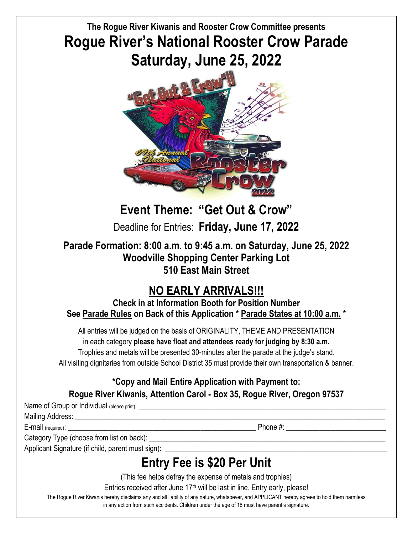# **The Rogue River Kiwanis and Rooster Crow Committee presents Rogue River's National Rooster Crow Parade Saturday, June 25, 2022**



# **Event Theme: "Get Out & Crow"**

Deadline for Entries: **Friday, June 17, 2022**

### **Parade Formation: 8:00 a.m. to 9:45 a.m. on Saturday, June 25, 2022 Woodville Shopping Center Parking Lot 510 East Main Street**

# **NO EARLY ARRIVALS!!!**

**Check in at Information Booth for Position Number See Parade Rules on Back of this Application \* Parade States at 10:00 a.m. \***

All entries will be judged on the basis of ORIGINALITY, THEME AND PRESENTATION in each category **please have float and attendees ready for judging by 8:30 a.m.** Trophies and metals will be presented 30-minutes after the parade at the judge's stand. All visiting dignitaries from outside School District 35 must provide their own transportation & banner.

## **\*Copy and Mail Entire Application with Payment to:**

### **Rogue River Kiwanis, Attention Carol - Box 35, Rogue River, Oregon 97537**

Name of Group or Individual (please print):

Mailing Address:

E-mail (required):  $\Box$  Phone #:

Category Type (choose from list on back):

Applicant Signature (if child, parent must sign):

# **Entry Fee is \$20 Per Unit**

(This fee helps defray the expense of metals and trophies)

Entries received after June 17<sup>th</sup> will be last in line. Entry early, please!

The Rogue River Kiwanis hereby disclaims any and all liability of any nature, whatsoever, and APPLICANT hereby agrees to hold them harmless in any action from such accidents. Children under the age of 18 must have parent's signature.